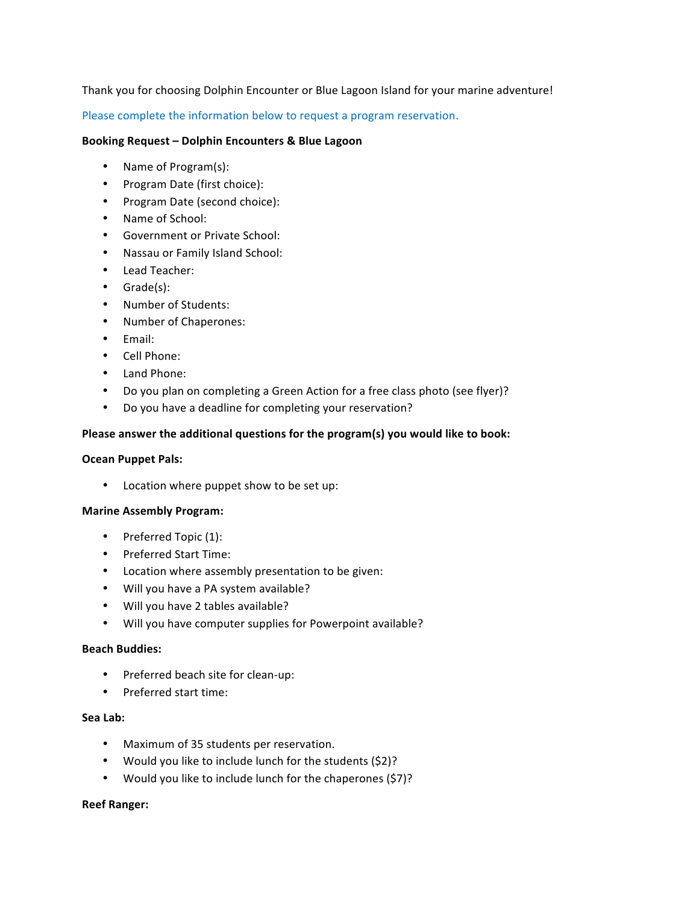# Thank you for choosing Dolphin Encounter or Blue Lagoon Island for your marine adventure!

Please complete the information below to request a program reservation.

### **Booking Request – Dolphin Encounters & Blue Lagoon**

- Name of Program(s):
- Program Date (first choice):
- Program Date (second choice):
- Name of School:
- Government or Private School:
- Nassau or Family Island School:
- Lead Teacher:
- Grade(s):
- Number of Students:
- Number of Chaperones:
- Email:
- Cell Phone:
- Land Phone:
- Do you plan on completing a Green Action for a free class photo (see flyer)?
- Do you have a deadline for completing your reservation?

## Please answer the additional questions for the program(s) you would like to book:

#### **Ocean Puppet Pals:**

• Location where puppet show to be set up:

#### **Marine Assembly Program:**

- Preferred Topic (1):
- Preferred Start Time:
- Location where assembly presentation to be given:
- Will you have a PA system available?
- Will you have 2 tables available?
- Will you have computer supplies for Powerpoint available?

#### **Beach Buddies:**

- Preferred beach site for clean-up:
- Preferred start time:

#### Sea Lab:

- Maximum of 35 students per reservation.
- Would you like to include lunch for the students (\$2)?
- Would you like to include lunch for the chaperones (\$7)?

# **Reef Ranger:**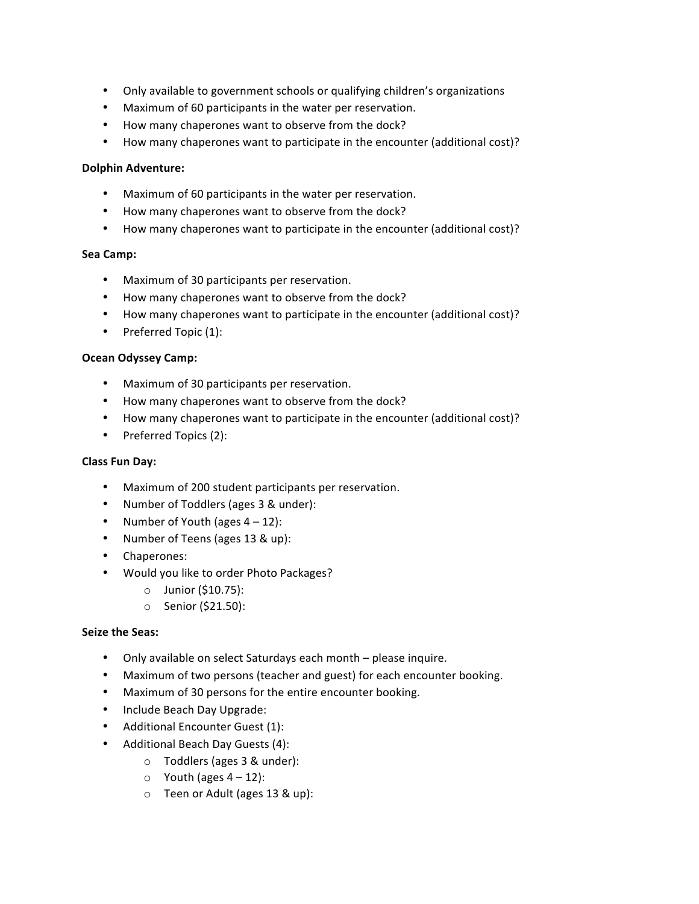- Only available to government schools or qualifying children's organizations
- Maximum of 60 participants in the water per reservation.
- How many chaperones want to observe from the dock?
- How many chaperones want to participate in the encounter (additional cost)?

## **Dolphin Adventure:**

- Maximum of 60 participants in the water per reservation.
- How many chaperones want to observe from the dock?
- How many chaperones want to participate in the encounter (additional cost)?

## **Sea Camp:**

- Maximum of 30 participants per reservation.
- How many chaperones want to observe from the dock?
- How many chaperones want to participate in the encounter (additional cost)?
- Preferred Topic (1):

## **Ocean Odyssey Camp:**

- Maximum of 30 participants per reservation.
- How many chaperones want to observe from the dock?
- How many chaperones want to participate in the encounter (additional cost)?
- Preferred Topics (2):

# **Class Fun Day:**

- Maximum of 200 student participants per reservation.
- Number of Toddlers (ages 3 & under):
- Number of Youth (ages  $4 12$ ):
- Number of Teens (ages 13 & up):
- Chaperones:
- Would you like to order Photo Packages?
	- o Junior (\$10.75):
	- o Senior (\$21.50):

# **Seize the Seas:**

- Only available on select Saturdays each month please inquire.
- Maximum of two persons (teacher and guest) for each encounter booking.
- Maximum of 30 persons for the entire encounter booking.
- Include Beach Day Upgrade:
- Additional Encounter Guest (1):
- Additional Beach Day Guests (4):
	- o Toddlers (ages 3 & under):
	- $\circ$  Youth (ages  $4 12$ ):
	- o Teen or Adult (ages 13 & up):